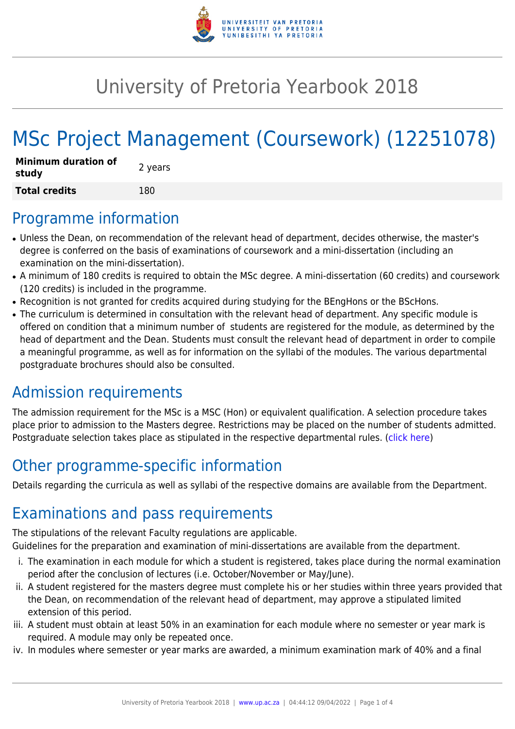

## University of Pretoria Yearbook 2018

# MSc Project Management (Coursework) (12251078)

| <b>Minimum duration of</b><br>study | 2 years |
|-------------------------------------|---------|
| <b>Total credits</b>                | 180     |

#### Programme information

- Unless the Dean, on recommendation of the relevant head of department, decides otherwise, the master's degree is conferred on the basis of examinations of coursework and a mini-dissertation (including an examination on the mini-dissertation).
- A minimum of 180 credits is required to obtain the MSc degree. A mini-dissertation (60 credits) and coursework (120 credits) is included in the programme.
- Recognition is not granted for credits acquired during studying for the BEngHons or the BScHons.
- The curriculum is determined in consultation with the relevant head of department. Any specific module is offered on condition that a minimum number of students are registered for the module, as determined by the head of department and the Dean. Students must consult the relevant head of department in order to compile a meaningful programme, as well as for information on the syllabi of the modules. The various departmental postgraduate brochures should also be consulted.

### Admission requirements

The admission requirement for the MSc is a MSC (Hon) or equivalent qualification. A selection procedure takes place prior to admission to the Masters degree. Restrictions may be placed on the number of students admitted. Postgraduate selection takes place as stipulated in the respective departmental rules. [\(click here](http://www.up.ac.za/gstm))

### Other programme-specific information

Details regarding the curricula as well as syllabi of the respective domains are available from the Department.

### Examinations and pass requirements

The stipulations of the relevant Faculty regulations are applicable.

Guidelines for the preparation and examination of mini-dissertations are available from the department.

- i. The examination in each module for which a student is registered, takes place during the normal examination period after the conclusion of lectures (i.e. October/November or May/June).
- ii. A student registered for the masters degree must complete his or her studies within three years provided that the Dean, on recommendation of the relevant head of department, may approve a stipulated limited extension of this period.
- iii. A student must obtain at least 50% in an examination for each module where no semester or year mark is required. A module may only be repeated once.
- iv. In modules where semester or year marks are awarded, a minimum examination mark of 40% and a final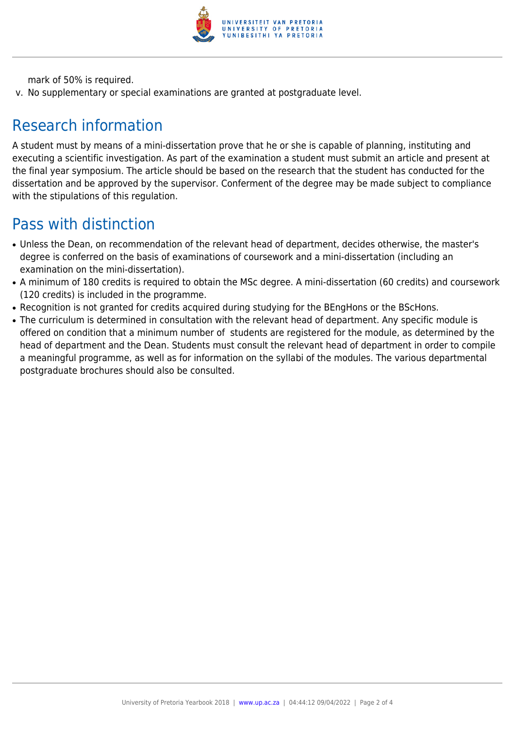

mark of 50% is required.

v. No supplementary or special examinations are granted at postgraduate level.

### Research information

A student must by means of a mini-dissertation prove that he or she is capable of planning, instituting and executing a scientific investigation. As part of the examination a student must submit an article and present at the final year symposium. The article should be based on the research that the student has conducted for the dissertation and be approved by the supervisor. Conferment of the degree may be made subject to compliance with the stipulations of this regulation.

#### Pass with distinction

- Unless the Dean, on recommendation of the relevant head of department, decides otherwise, the master's degree is conferred on the basis of examinations of coursework and a mini-dissertation (including an examination on the mini-dissertation).
- A minimum of 180 credits is required to obtain the MSc degree. A mini-dissertation (60 credits) and coursework (120 credits) is included in the programme.
- Recognition is not granted for credits acquired during studying for the BEngHons or the BScHons.
- The curriculum is determined in consultation with the relevant head of department. Any specific module is offered on condition that a minimum number of students are registered for the module, as determined by the head of department and the Dean. Students must consult the relevant head of department in order to compile a meaningful programme, as well as for information on the syllabi of the modules. The various departmental postgraduate brochures should also be consulted.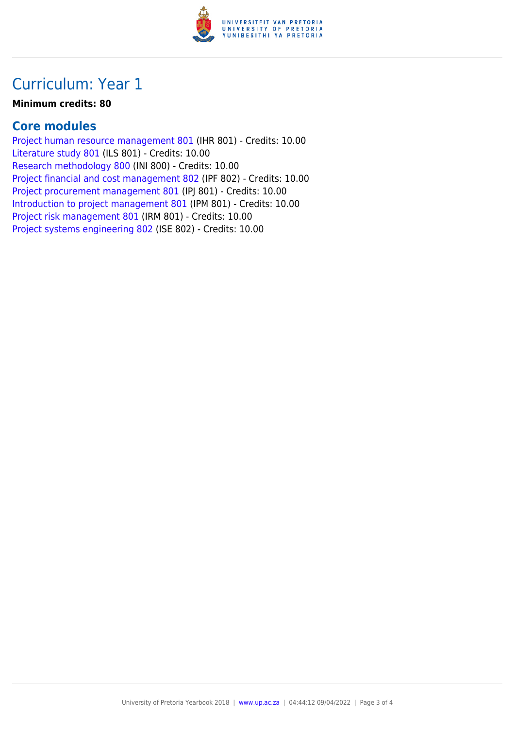

### Curriculum: Year 1

#### **Minimum credits: 80**

#### **Core modules**

[Project human resource management 801](https://www.up.ac.za/parents/yearbooks/2018/modules/view/IHR 801) (IHR 801) - Credits: 10.00 [Literature study 801](https://www.up.ac.za/parents/yearbooks/2018/modules/view/ILS 801) (ILS 801) - Credits: 10.00 [Research methodology 800](https://www.up.ac.za/parents/yearbooks/2018/modules/view/INI 800) (INI 800) - Credits: 10.00 [Project financial and cost management 802](https://www.up.ac.za/parents/yearbooks/2018/modules/view/IPF 802) (IPF 802) - Credits: 10.00 [Project procurement management 801](https://www.up.ac.za/parents/yearbooks/2018/modules/view/IPJ 801) (IPJ 801) - Credits: 10.00 [Introduction to project management 801](https://www.up.ac.za/parents/yearbooks/2018/modules/view/IPM 801) (IPM 801) - Credits: 10.00 [Project risk management 801](https://www.up.ac.za/parents/yearbooks/2018/modules/view/IRM 801) (IRM 801) - Credits: 10.00 [Project systems engineering 802](https://www.up.ac.za/parents/yearbooks/2018/modules/view/ISE 802) (ISE 802) - Credits: 10.00